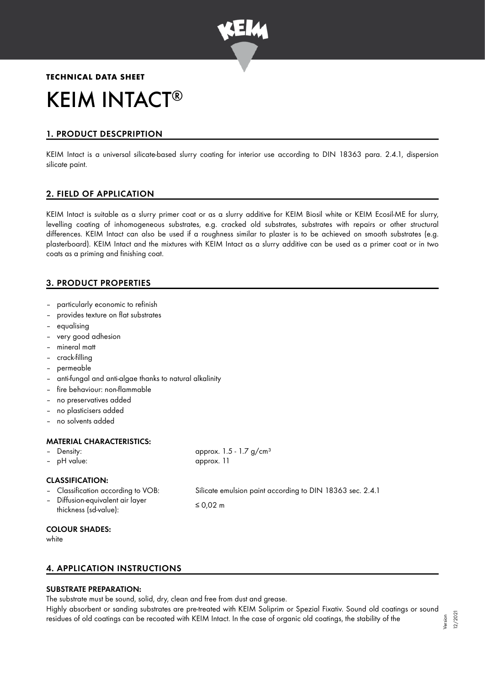

# **TECHNICAL DATA SHEET** KEIM INTACT ®

# 1. PRODUCT DESCPRIPTION

KEIM Intact is a universal silicate-based slurry coating for interior use according to DIN 18363 para. 2.4.1, dispersion silicate paint.

# 2. FIELD OF APPLICATION

KEIM Intact is suitable as a slurry primer coat or as a slurry additive for KEIM Biosil white or KEIM Ecosil-ME for slurry, levelling coating of inhomogeneous substrates, e.g. cracked old substrates, substrates with repairs or other structural differences. KEIM Intact can also be used if a roughness similar to plaster is to be achieved on smooth substrates (e.g. plasterboard). KEIM Intact and the mixtures with KEIM Intact as a slurry additive can be used as a primer coat or in two coats as a priming and finishing coat.

# 3. PRODUCT PROPERTIES

- particularly economic to refinish
- provides texture on flat substrates
- equalising
- very good adhesion
- mineral matt
- crack-filling
- permeable
- anti-fungal and anti-algae thanks to natural alkalinity
- fire behaviour: non-flammable
- no preservatives added
- no plasticisers added
- no solvents added

#### MATERIAL CHARACTERISTICS:

- 
- pH value: approx. 11

– Density: approx. 1.5 - 1.7 g/cm<sup>3</sup>

## CLASSIFICATION:

- Classification according to VOB: Silicate emulsion paint according to DIN 18363 sec. 2.4.1
	- Diffusion-equivalent air layer  $\leq 0.02 \text{ m}$ <br>thickness (sd-value):  $\leq 0.02 \text{ m}$

#### COLOUR SHADES:

white

# 4. APPLICATION INSTRUCTIONS

## SUBSTRATE PREPARATION:

The substrate must be sound, solid, dry, clean and free from dust and grease.

Highly absorbent or sanding substrates are pre-treated with KEIM Soliprim or Spezial Fixativ. Sound old coatings or sound residues of old coatings can be recoated with KEIM Intact. In the case of organic old coatings, the stability of the Version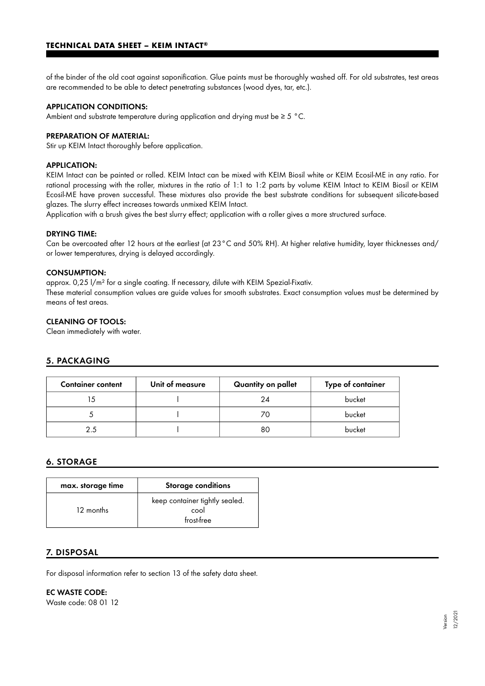of the binder of the old coat against saponification. Glue paints must be thoroughly washed off. For old substrates, test areas are recommended to be able to detect penetrating substances (wood dyes, tar, etc.).

#### APPLICATION CONDITIONS:

Ambient and substrate temperature during application and drying must be  $\geq 5$  °C.

# PREPARATION OF MATERIAL:

Stir up KEIM Intact thoroughly before application.

#### APPLICATION:

KEIM Intact can be painted or rolled. KEIM Intact can be mixed with KEIM Biosil white or KEIM Ecosil-ME in any ratio. For rational processing with the roller, mixtures in the ratio of 1:1 to 1:2 parts by volume KEIM Intact to KEIM Biosil or KEIM Ecosil-ME have proven successful. These mixtures also provide the best substrate conditions for subsequent silicate-based glazes. The slurry effect increases towards unmixed KEIM Intact.

Application with a brush gives the best slurry effect; application with a roller gives a more structured surface.

#### DRYING TIME:

Can be overcoated after 12 hours at the earliest (at 23°C and 50% RH). At higher relative humidity, layer thicknesses and/ or lower temperatures, drying is delayed accordingly.

#### CONSUMPTION:

approx. 0,25 l/m² for a single coating. If necessary, dilute with KEIM Spezial-Fixativ.

These material consumption values are guide values for smooth substrates. Exact consumption values must be determined by means of test areas.

## CLEANING OF TOOLS:

Clean immediately with water.

## 5. PACKAGING

| <b>Container content</b> | Unit of measure | Quantity on pallet | Type of container |
|--------------------------|-----------------|--------------------|-------------------|
|                          |                 | 24                 | bucket            |
|                          |                 |                    | bucket            |
| 2.5                      |                 | 80                 | bucket            |

#### 6. STORAGE

| max. storage time | <b>Storage conditions</b>                            |  |
|-------------------|------------------------------------------------------|--|
| 12 months         | keep container tightly sealed.<br>cool<br>frost-free |  |

#### 7. DISPOSAL

For disposal information refer to section 13 of the safety data sheet.

### EC WASTE CODE:

Waste code: 08 01 12